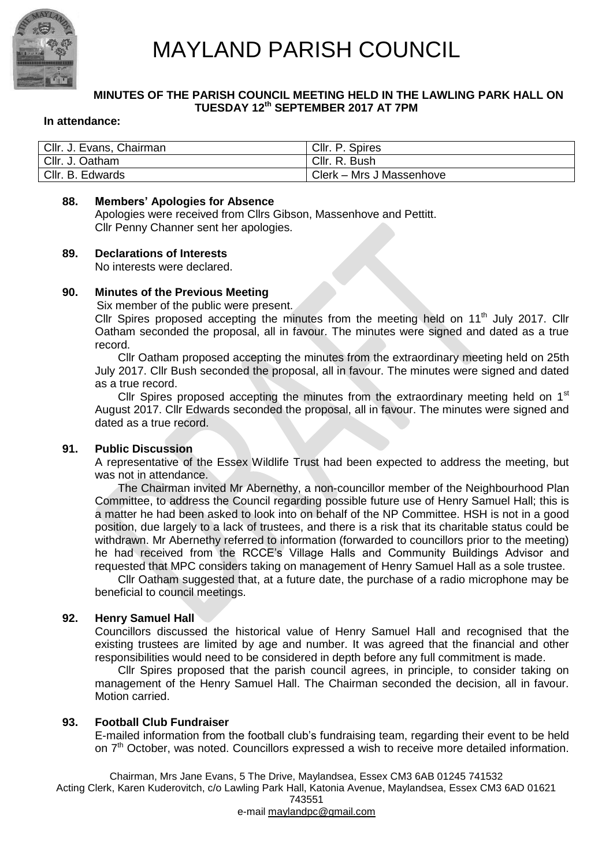

## **MINUTES OF THE PARISH COUNCIL MEETING HELD IN THE LAWLING PARK HALL ON TUESDAY 12 th SEPTEMBER 2017 AT 7PM**

#### **In attendance:**

| Cllr. J. Evans, Chairman | Cllr. P. Spires          |
|--------------------------|--------------------------|
| Cllr. J. Oatham          | Cllr. R. Bush            |
| Cllr. B. Edwards         | Clerk – Mrs J Massenhove |

#### **88. Members' Apologies for Absence**

Apologies were received from Cllrs Gibson, Massenhove and Pettitt. Cllr Penny Channer sent her apologies.

## **89. Declarations of Interests**

No interests were declared.

#### **90. Minutes of the Previous Meeting**

Six member of the public were present.

Cllr Spires proposed accepting the minutes from the meeting held on  $11<sup>th</sup>$  July 2017. Cllr Oatham seconded the proposal, all in favour. The minutes were signed and dated as a true record.

Cllr Oatham proposed accepting the minutes from the extraordinary meeting held on 25th July 2017. Cllr Bush seconded the proposal, all in favour. The minutes were signed and dated as a true record.

Cllr Spires proposed accepting the minutes from the extraordinary meeting held on  $1<sup>st</sup>$ August 2017. Cllr Edwards seconded the proposal, all in favour. The minutes were signed and dated as a true record.

#### **91. Public Discussion**

A representative of the Essex Wildlife Trust had been expected to address the meeting, but was not in attendance.

The Chairman invited Mr Abernethy, a non-councillor member of the Neighbourhood Plan Committee, to address the Council regarding possible future use of Henry Samuel Hall; this is a matter he had been asked to look into on behalf of the NP Committee. HSH is not in a good position, due largely to a lack of trustees, and there is a risk that its charitable status could be withdrawn. Mr Abernethy referred to information (forwarded to councillors prior to the meeting) he had received from the RCCE's Village Halls and Community Buildings Advisor and requested that MPC considers taking on management of Henry Samuel Hall as a sole trustee.

Cllr Oatham suggested that, at a future date, the purchase of a radio microphone may be beneficial to council meetings.

#### **92. Henry Samuel Hall**

Councillors discussed the historical value of Henry Samuel Hall and recognised that the existing trustees are limited by age and number. It was agreed that the financial and other responsibilities would need to be considered in depth before any full commitment is made.

Cllr Spires proposed that the parish council agrees, in principle, to consider taking on management of the Henry Samuel Hall. The Chairman seconded the decision, all in favour. Motion carried.

#### **93. Football Club Fundraiser**

E-mailed information from the football club's fundraising team, regarding their event to be held on 7<sup>th</sup> October, was noted. Councillors expressed a wish to receive more detailed information.

Chairman, Mrs Jane Evans, 5 The Drive, Maylandsea, Essex CM3 6AB 01245 741532 Acting Clerk, Karen Kuderovitch, c/o Lawling Park Hall, Katonia Avenue, Maylandsea, Essex CM3 6AD 01621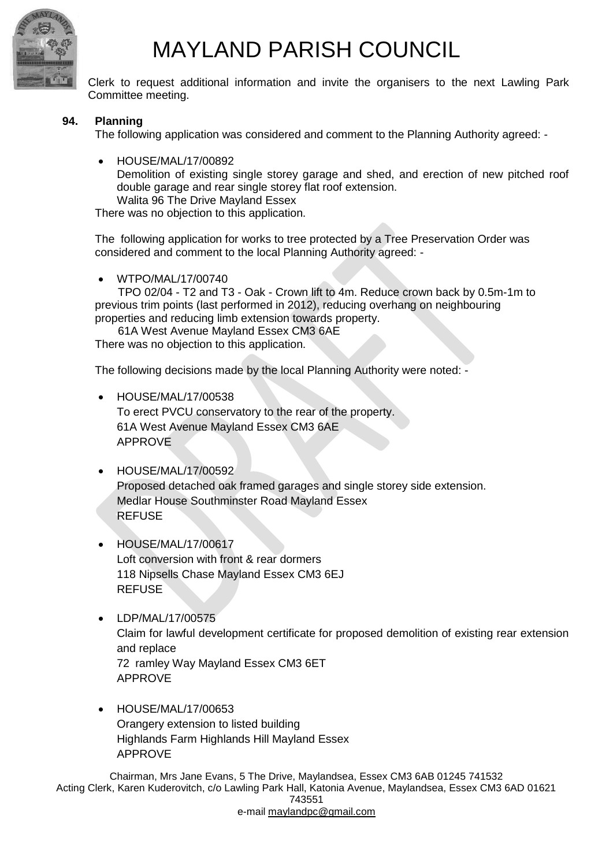

Clerk to request additional information and invite the organisers to the next Lawling Park Committee meeting.

# **94. Planning**

The following application was considered and comment to the Planning Authority agreed: -

 HOUSE/MAL/17/00892 Demolition of existing single storey garage and shed, and erection of new pitched roof double garage and rear single storey flat roof extension. Walita 96 The Drive Mayland Essex

There was no objection to this application.

The following application for works to tree protected by a Tree Preservation Order was considered and comment to the local Planning Authority agreed: -

WTPO/MAL/17/00740

TPO 02/04 - T2 and T3 - Oak - Crown lift to 4m. Reduce crown back by 0.5m-1m to previous trim points (last performed in 2012), reducing overhang on neighbouring properties and reducing limb extension towards property.

61A West Avenue Mayland Essex CM3 6AE There was no objection to this application.

The following decisions made by the local Planning Authority were noted: -

- HOUSE/MAL/17/00538 To erect PVCU conservatory to the rear of the property. 61A West Avenue Mayland Essex CM3 6AE APPROVE
- HOUSE/MAL/17/00592 Proposed detached oak framed garages and single storey side extension. Medlar House Southminster Road Mayland Essex REFUSE
- HOUSE/MAL/17/00617 Loft conversion with front & rear dormers 118 Nipsells Chase Mayland Essex CM3 6EJ REFUSE
- LDP/MAL/17/00575 Claim for lawful development certificate for proposed demolition of existing rear extension and replace 72 ramley Way Mayland Essex CM3 6ET APPROVE
- HOUSE/MAL/17/00653 Orangery extension to listed building Highlands Farm Highlands Hill Mayland Essex APPROVE

Chairman, Mrs Jane Evans, 5 The Drive, Maylandsea, Essex CM3 6AB 01245 741532 Acting Clerk, Karen Kuderovitch, c/o Lawling Park Hall, Katonia Avenue, Maylandsea, Essex CM3 6AD 01621 743551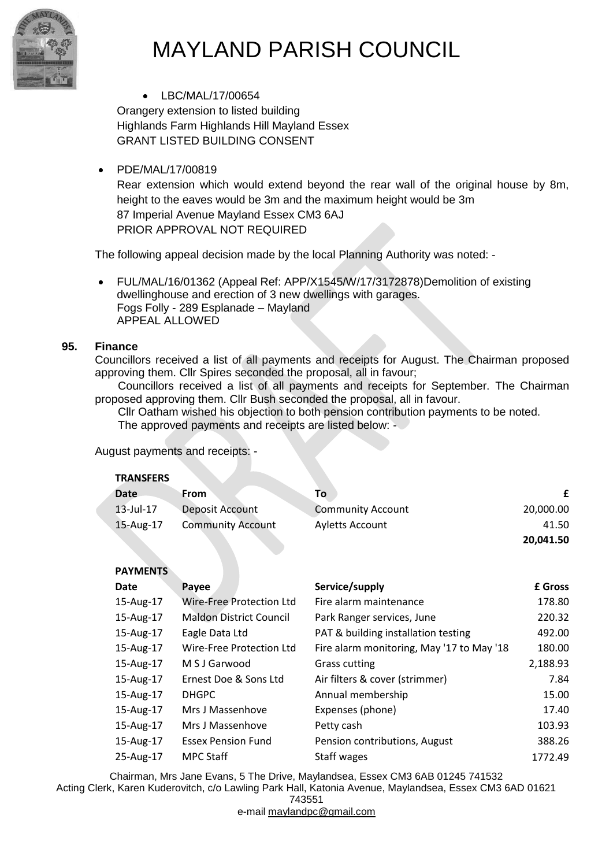

• LBC/MAL/17/00654

Orangery extension to listed building Highlands Farm Highlands Hill Mayland Essex GRANT LISTED BUILDING CONSENT

PDE/MAL/17/00819

Rear extension which would extend beyond the rear wall of the original house by 8m, height to the eaves would be 3m and the maximum height would be 3m 87 Imperial Avenue Mayland Essex CM3 6AJ PRIOR APPROVAL NOT REQUIRED

The following appeal decision made by the local Planning Authority was noted: -

 FUL/MAL/16/01362 (Appeal Ref: APP/X1545/W/17/3172878)Demolition of existing dwellinghouse and erection of 3 new dwellings with garages. Fogs Folly - 289 Esplanade – Mayland APPEAL ALLOWED

# **95. Finance**

Councillors received a list of all payments and receipts for August. The Chairman proposed approving them. Cllr Spires seconded the proposal, all in favour;

Councillors received a list of all payments and receipts for September. The Chairman proposed approving them. Cllr Bush seconded the proposal, all in favour.

Cllr Oatham wished his objection to both pension contribution payments to be noted.

The approved payments and receipts are listed below: -

# August payments and receipts: -

## **TRANSFERS**

| <b>Date</b> | From                     | Τo                       |           |
|-------------|--------------------------|--------------------------|-----------|
| 13-Jul-17   | Deposit Account          | <b>Community Account</b> | 20,000.00 |
| 15-Aug-17   | <b>Community Account</b> | <b>Ayletts Account</b>   | 41.50     |
|             |                          |                          | 20.041.50 |

# **PAYMENTS**

| , ,,,,,,,,,, |                                 |                                           |                |
|--------------|---------------------------------|-------------------------------------------|----------------|
| Date         | Payee                           | Service/supply                            | <b>£ Gross</b> |
| 15-Aug-17    | <b>Wire-Free Protection Ltd</b> | Fire alarm maintenance                    | 178.80         |
| 15-Aug-17    | <b>Maldon District Council</b>  | Park Ranger services, June                | 220.32         |
| 15-Aug-17    | Eagle Data Ltd                  | PAT & building installation testing       | 492.00         |
| 15-Aug-17    | Wire-Free Protection Ltd        | Fire alarm monitoring, May '17 to May '18 | 180.00         |
| 15-Aug-17    | M S J Garwood                   | <b>Grass cutting</b>                      | 2,188.93       |
| 15-Aug-17    | Ernest Doe & Sons Ltd           | Air filters & cover (strimmer)            | 7.84           |
| 15-Aug-17    | <b>DHGPC</b>                    | Annual membership                         | 15.00          |
| 15-Aug-17    | Mrs J Massenhove                | Expenses (phone)                          | 17.40          |
| 15-Aug-17    | Mrs J Massenhove                | Petty cash                                | 103.93         |
| 15-Aug-17    | <b>Essex Pension Fund</b>       | Pension contributions, August             | 388.26         |
| 25-Aug-17    | <b>MPC Staff</b>                | Staff wages                               | 1772.49        |

Chairman, Mrs Jane Evans, 5 The Drive, Maylandsea, Essex CM3 6AB 01245 741532 Acting Clerk, Karen Kuderovitch, c/o Lawling Park Hall, Katonia Avenue, Maylandsea, Essex CM3 6AD 01621

743551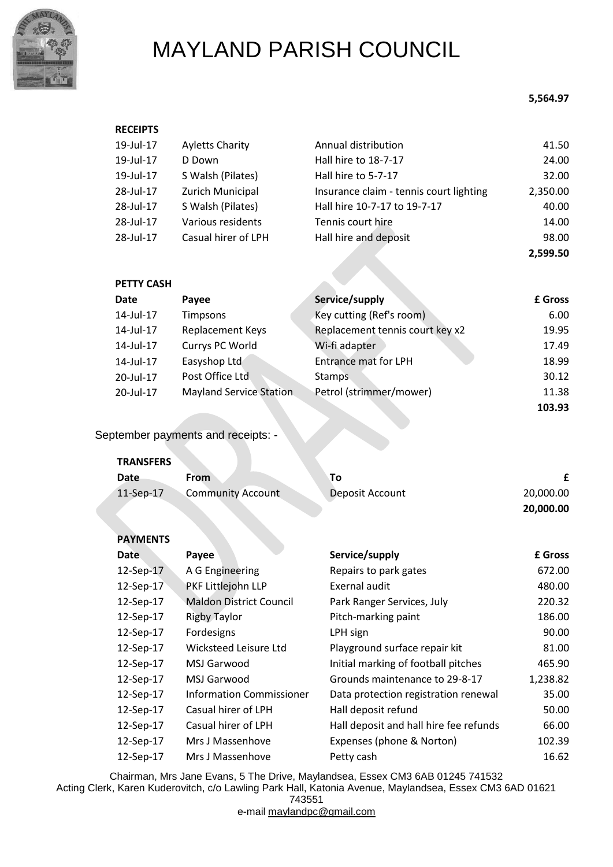

### **5,564.97**

| <b>RECEIPTS</b> |                        |                                         |          |
|-----------------|------------------------|-----------------------------------------|----------|
| 19-Jul-17       | <b>Ayletts Charity</b> | Annual distribution                     | 41.50    |
| 19-Jul-17       | D Down                 | Hall hire to 18-7-17                    | 24.00    |
| 19-Jul-17       | S Walsh (Pilates)      | Hall hire to 5-7-17                     | 32.00    |
| 28-Jul-17       | Zurich Municipal       | Insurance claim - tennis court lighting | 2,350.00 |
| 28-Jul-17       | S Walsh (Pilates)      | Hall hire 10-7-17 to 19-7-17            | 40.00    |
| 28-Jul-17       | Various residents      | Tennis court hire                       | 14.00    |
| 28-Jul-17       | Casual hirer of LPH    | Hall hire and deposit                   | 98.00    |
|                 |                        |                                         | 2,599.50 |

| <b>PETTY CASH</b> |                                |                                 |         |
|-------------------|--------------------------------|---------------------------------|---------|
| Date              | Payee                          | Service/supply                  | £ Gross |
| 14-Jul-17         | Timpsons                       | Key cutting (Ref's room)        | 6.00    |
| 14-Jul-17         | Replacement Keys               | Replacement tennis court key x2 | 19.95   |
| 14-Jul-17         | Currys PC World                | Wi-fi adapter                   | 17.49   |
| 14-Jul-17         | Easyshop Ltd                   | <b>Entrance mat for LPH</b>     | 18.99   |
| 20-Jul-17         | Post Office Ltd                | <b>Stamps</b>                   | 30.12   |
| 20-Jul-17         | <b>Mayland Service Station</b> | Petrol (strimmer/mower)         | 11.38   |
|                   |                                |                                 | 103.93  |

September payments and receipts: -

| <b>TRANSFERS</b> |                          |                 |           |
|------------------|--------------------------|-----------------|-----------|
| Date             | <b>From</b>              | To              |           |
| $11-Sep-17$      | <b>Community Account</b> | Deposit Account | 20,000.00 |
|                  |                          |                 | 20,000.00 |

| <b>PAYMENTS</b> |  |
|-----------------|--|
|-----------------|--|

| <b>Date</b> | Payee                           | Service/supply                         | £ Gross  |
|-------------|---------------------------------|----------------------------------------|----------|
| 12-Sep-17   | A G Engineering                 | Repairs to park gates                  | 672.00   |
| 12-Sep-17   | PKF Littlejohn LLP              | Exernal audit                          | 480.00   |
| 12-Sep-17   | <b>Maldon District Council</b>  | Park Ranger Services, July             | 220.32   |
| 12-Sep-17   | <b>Rigby Taylor</b>             | Pitch-marking paint                    | 186.00   |
| 12-Sep-17   | Fordesigns                      | LPH sign                               | 90.00    |
| 12-Sep-17   | Wicksteed Leisure Ltd           | Playground surface repair kit          | 81.00    |
| 12-Sep-17   | MSJ Garwood                     | Initial marking of football pitches    | 465.90   |
| 12-Sep-17   | MSJ Garwood                     | Grounds maintenance to 29-8-17         | 1,238.82 |
| 12-Sep-17   | <b>Information Commissioner</b> | Data protection registration renewal   | 35.00    |
| 12-Sep-17   | Casual hirer of LPH             | Hall deposit refund                    | 50.00    |
| 12-Sep-17   | Casual hirer of LPH             | Hall deposit and hall hire fee refunds | 66.00    |
| 12-Sep-17   | Mrs J Massenhove                | Expenses (phone & Norton)              | 102.39   |
| 12-Sep-17   | Mrs J Massenhove                | Petty cash                             | 16.62    |

Chairman, Mrs Jane Evans, 5 The Drive, Maylandsea, Essex CM3 6AB 01245 741532

Acting Clerk, Karen Kuderovitch, c/o Lawling Park Hall, Katonia Avenue, Maylandsea, Essex CM3 6AD 01621 743551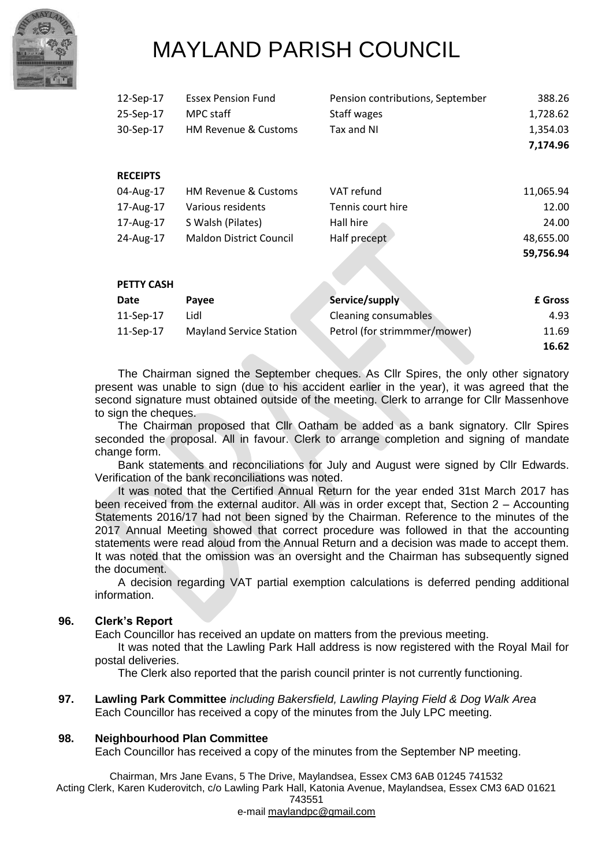

| 12-Sep-17         | <b>Essex Pension Fund</b>       | Pension contributions, September | 388.26    |
|-------------------|---------------------------------|----------------------------------|-----------|
| 25-Sep-17         | MPC staff                       | Staff wages                      | 1,728.62  |
| 30-Sep-17         | <b>HM Revenue &amp; Customs</b> | Tax and NI                       | 1,354.03  |
|                   |                                 |                                  | 7,174.96  |
| <b>RECEIPTS</b>   |                                 |                                  |           |
| 04-Aug-17         | <b>HM Revenue &amp; Customs</b> | VAT refund                       | 11,065.94 |
| 17-Aug-17         | Various residents               | Tennis court hire                | 12.00     |
| 17-Aug-17         | S Walsh (Pilates)               | Hall hire                        | 24.00     |
| 24-Aug-17         | <b>Maldon District Council</b>  | Half precept                     | 48,655.00 |
|                   |                                 |                                  | 59,756.94 |
| <b>PETTY CASH</b> |                                 |                                  |           |
| Date              | Payee                           | Service/supply                   | £ Gross   |
| 11-Sep-17         | Lidl                            | Cleaning consumables             | 4.93      |
| 11-Sep-17         | Mayland Service Station         | Petrol (for strimmmer/mower)     | 11.69     |
|                   |                                 |                                  | 16.62     |

The Chairman signed the September cheques. As Cllr Spires, the only other signatory present was unable to sign (due to his accident earlier in the year), it was agreed that the second signature must obtained outside of the meeting. Clerk to arrange for Cllr Massenhove to sign the cheques.

The Chairman proposed that Cllr Oatham be added as a bank signatory. Cllr Spires seconded the proposal. All in favour. Clerk to arrange completion and signing of mandate change form.

Bank statements and reconciliations for July and August were signed by Cllr Edwards. Verification of the bank reconciliations was noted.

It was noted that the Certified Annual Return for the year ended 31st March 2017 has been received from the external auditor. All was in order except that, Section 2 – Accounting Statements 2016/17 had not been signed by the Chairman. Reference to the minutes of the 2017 Annual Meeting showed that correct procedure was followed in that the accounting statements were read aloud from the Annual Return and a decision was made to accept them. It was noted that the omission was an oversight and the Chairman has subsequently signed the document.

A decision regarding VAT partial exemption calculations is deferred pending additional information.

## **96. Clerk's Report**

Each Councillor has received an update on matters from the previous meeting.

It was noted that the Lawling Park Hall address is now registered with the Royal Mail for postal deliveries.

The Clerk also reported that the parish council printer is not currently functioning.

**97. Lawling Park Committee** *including Bakersfield, Lawling Playing Field & Dog Walk Area* Each Councillor has received a copy of the minutes from the July LPC meeting.

#### **98. Neighbourhood Plan Committee**

Each Councillor has received a copy of the minutes from the September NP meeting.

Chairman, Mrs Jane Evans, 5 The Drive, Maylandsea, Essex CM3 6AB 01245 741532 Acting Clerk, Karen Kuderovitch, c/o Lawling Park Hall, Katonia Avenue, Maylandsea, Essex CM3 6AD 01621 743551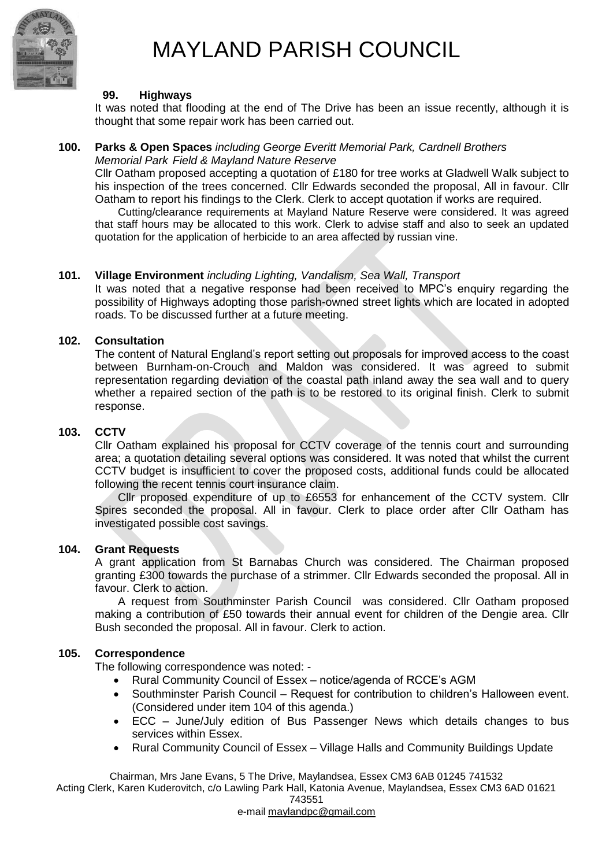

#### **99. Highways**

It was noted that flooding at the end of The Drive has been an issue recently, although it is thought that some repair work has been carried out.

#### **100. Parks & Open Spaces** *including George Everitt Memorial Park, Cardnell Brothers Memorial Park Field & Mayland Nature Reserve*

Cllr Oatham proposed accepting a quotation of £180 for tree works at Gladwell Walk subject to his inspection of the trees concerned. Cllr Edwards seconded the proposal, All in favour. Cllr Oatham to report his findings to the Clerk. Clerk to accept quotation if works are required.

Cutting/clearance requirements at Mayland Nature Reserve were considered. It was agreed that staff hours may be allocated to this work. Clerk to advise staff and also to seek an updated quotation for the application of herbicide to an area affected by russian vine.

## **101. Village Environment** *including Lighting, Vandalism, Sea Wall, Transport*

It was noted that a negative response had been received to MPC's enquiry regarding the possibility of Highways adopting those parish-owned street lights which are located in adopted roads. To be discussed further at a future meeting.

#### **102. Consultation**

The content of Natural England's report setting out proposals for improved access to the coast between Burnham-on-Crouch and Maldon was considered. It was agreed to submit representation regarding deviation of the coastal path inland away the sea wall and to query whether a repaired section of the path is to be restored to its original finish. Clerk to submit response.

#### **103. CCTV**

Cllr Oatham explained his proposal for CCTV coverage of the tennis court and surrounding area; a quotation detailing several options was considered. It was noted that whilst the current CCTV budget is insufficient to cover the proposed costs, additional funds could be allocated following the recent tennis court insurance claim.

Cllr proposed expenditure of up to £6553 for enhancement of the CCTV system. Cllr Spires seconded the proposal. All in favour. Clerk to place order after Cllr Oatham has investigated possible cost savings.

#### **104. Grant Requests**

A grant application from St Barnabas Church was considered. The Chairman proposed granting £300 towards the purchase of a strimmer. Cllr Edwards seconded the proposal. All in favour. Clerk to action.

A request from Southminster Parish Council was considered. Cllr Oatham proposed making a contribution of £50 towards their annual event for children of the Dengie area. Cllr Bush seconded the proposal. All in favour. Clerk to action.

## **105. Correspondence**

The following correspondence was noted: -

- Rural Community Council of Essex notice/agenda of RCCE's AGM
- Southminster Parish Council Request for contribution to children's Halloween event. (Considered under item 104 of this agenda.)
- ECC June/July edition of Bus Passenger News which details changes to bus services within Essex.
- Rural Community Council of Essex Village Halls and Community Buildings Update

Chairman, Mrs Jane Evans, 5 The Drive, Maylandsea, Essex CM3 6AB 01245 741532

Acting Clerk, Karen Kuderovitch, c/o Lawling Park Hall, Katonia Avenue, Maylandsea, Essex CM3 6AD 01621

743551